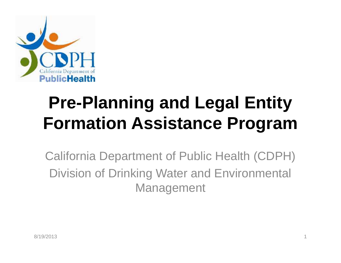

## **Pre-Planning and Legal Entity Formation Assistance Program**

California Department of Public Health (CDPH) Division of Drinking Water and Environmental Management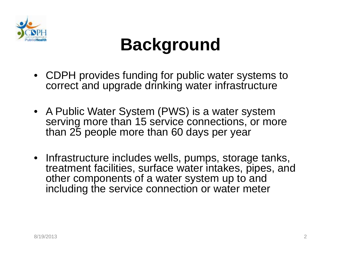

## **Background**

- CDPH provides funding for public water systems to correct and upgrade drinking water infrastructure
- A Public Water System (PWS) is a water system serving more than 15 service connections, or more than 25 people more than 60 days per year
- Infrastructure includes wells, pumps, storage tanks, treatment facilities, surface water intakes, pipes, and other components of a water system up to and including the service connection or water meter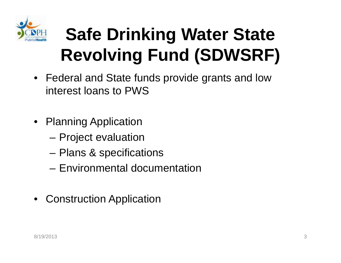

## **Safe Drinking Water State Revolving Fund (SDWSRF)**

- Federal and State funds provide grants and low interest loans to PWS
- Planning Application
	- Project evaluation
	- Plans & specifications
	- Environmental documentation
- Construction Application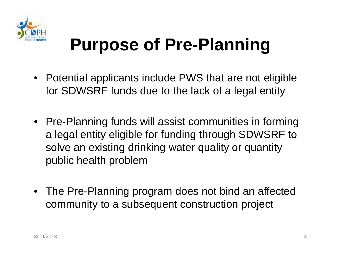

## **Purpose of Pre-Planning**

- Potential applicants include PWS that are not eligible for SDWSRF funds due to the lack of a legal entity
- Pre-Planning funds will assist communities in forming a legal entity eligible for funding through SDWSRF to solve an existing drinking water quality or quantity public health problem
- The Pre-Planning program does not bind an affected community to a subsequent construction project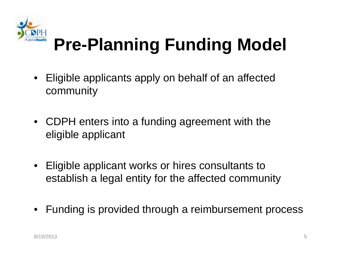

## **Pre-Planning Funding Model**

- Eligible applicants apply on behalf of an affected community
- CDPH enters into a funding agreement with the eligible applicant
- Eligible applicant works or hires consultants to establish a legal entity for the affected community
- Funding is provided through a reimbursement process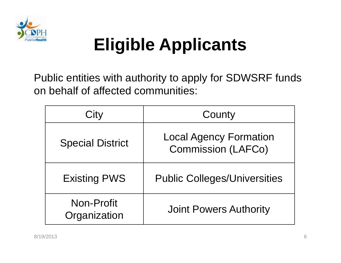

## **Eligible Applicants**

Public entities with authority to apply for SDWSRF funds on behalf of affected communities:

| City                       | County                                                     |
|----------------------------|------------------------------------------------------------|
| <b>Special District</b>    | <b>Local Agency Formation</b><br><b>Commission (LAFCo)</b> |
| <b>Existing PWS</b>        | <b>Public Colleges/Universities</b>                        |
| Non-Profit<br>Organization | <b>Joint Powers Authority</b>                              |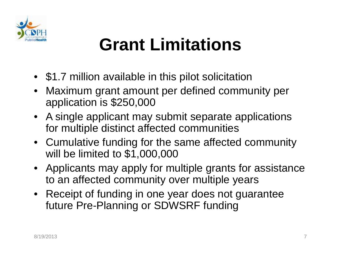

## **Grant Limitations**

- \$1.7 million available in this pilot solicitation
- Maximum grant amount per defined community per application is \$250,000
- A single applicant may submit separate applications for multiple distinct affected communities
- Cumulative funding for the same affected community will be limited to \$1,000,000
- Applicants may apply for multiple grants for assistance to an affected community over multiple years
- Receipt of funding in one year does not guarantee future Pre-Planning or SDWSRF funding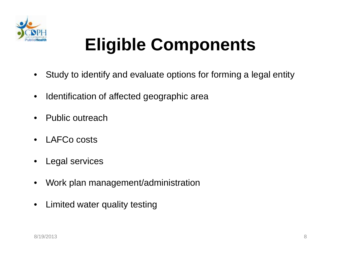

## **Eligible Components**

- Study to identify and evaluate options for forming a legal entity
- Identification of affected geographic area
- Public outreach
- LAFCo costs
- Legal services
- Work plan management/administration
- Limited water quality testing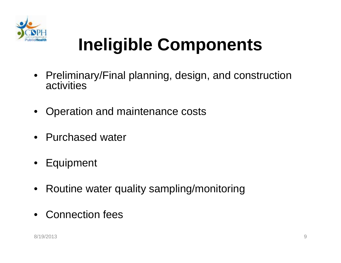

## **Ineligible Components**

- Preliminary/Final planning, design, and construction activities
- Operation and maintenance costs
- Purchased water
- Equipment
- Routine water quality sampling/monitoring
- Connection fees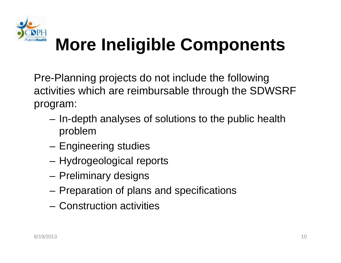

## **More Ineligible Components**

Pre-Planning projects do not include the following activities which are reimbursable through the SDWSRF program:

- In-depth analyses of solutions to the public health problem
- Engineering studies
- Hydrogeological reports
- Preliminary designs
- Preparation of plans and specifications
- Construction activities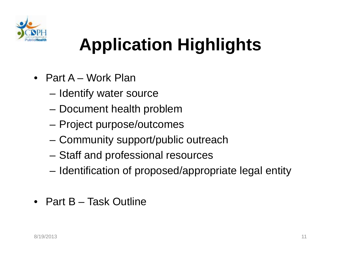

## **Application Highlights**

- Part A Work Plan
	- Identify water source
	- Document health problem
	- Project purpose/outcomes
	- Community support/public outreach
	- Staff and professional resources
	- Identification of proposed/appropriate legal entity
- Part B Task Outline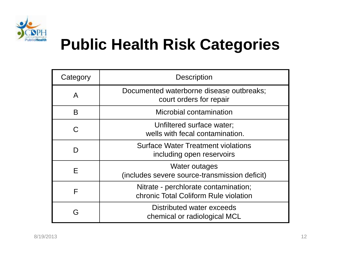

### **Public Health Risk Categories**

| Category | <b>Description</b>                                                            |
|----------|-------------------------------------------------------------------------------|
| A        | Documented waterborne disease outbreaks;<br>court orders for repair           |
| B        | Microbial contamination                                                       |
| C        | Unfiltered surface water;<br>wells with fecal contamination.                  |
|          | <b>Surface Water Treatment violations</b><br>including open reservoirs        |
| Е        | Water outages<br>(includes severe source-transmission deficit)                |
| F        | Nitrate - perchlorate contamination;<br>chronic Total Coliform Rule violation |
| ဒ        | Distributed water exceeds<br>chemical or radiological MCL                     |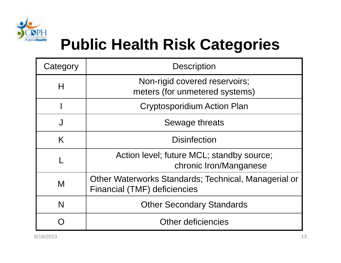

### **Public Health Risk Categories**

| Category | <b>Description</b>                                                                   |
|----------|--------------------------------------------------------------------------------------|
| Н        | Non-rigid covered reservoirs;<br>meters (for unmetered systems)                      |
|          | <b>Cryptosporidium Action Plan</b>                                                   |
| J        | Sewage threats                                                                       |
| K        | <b>Disinfection</b>                                                                  |
|          | Action level; future MCL; standby source;<br>chronic Iron/Manganese                  |
| M        | Other Waterworks Standards; Technical, Managerial or<br>Financial (TMF) deficiencies |
| N        | <b>Other Secondary Standards</b>                                                     |
|          | <b>Other deficiencies</b>                                                            |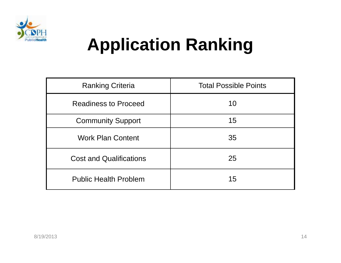

## **Application Ranking**

| <b>Ranking Criteria</b>        | <b>Total Possible Points</b> |
|--------------------------------|------------------------------|
| <b>Readiness to Proceed</b>    | 10                           |
| <b>Community Support</b>       | 15                           |
| <b>Work Plan Content</b>       | 35                           |
| <b>Cost and Qualifications</b> | 25                           |
| <b>Public Health Problem</b>   | 15                           |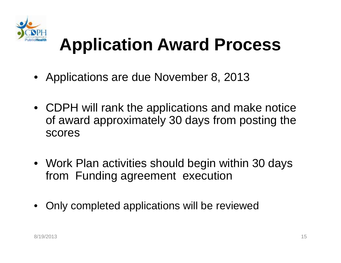

## **Application Award Process**

- Applications are due November 8, 2013
- CDPH will rank the applications and make notice of award approximately 30 days from posting the scores
- Work Plan activities should begin within 30 days from Funding agreement execution
- Only completed applications will be reviewed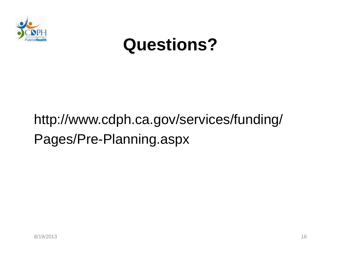

### **Questions?**

### http://www.cdph.ca.gov/services/funding/ Pages/Pre-Planning.aspx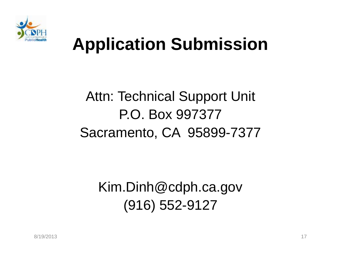

## **Application Submission**

#### Attn: Technical Support Unit P.O. Box 997377 Sacramento, CA 95899-7377

Kim.Dinh@cdph.ca.gov (916) 552-9127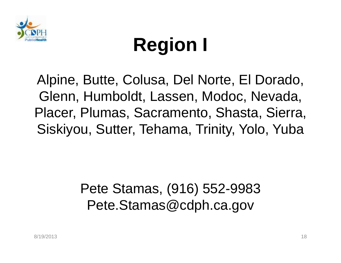

# **Region I**

Alpine, Butte, Colusa, Del Norte, El Dorado, Glenn, Humboldt, Lassen, Modoc, Nevada, Placer, Plumas, Sacramento, Shasta, Sierra, Siskiyou, Sutter, Tehama, Trinity, Yolo, Yuba

> Pete Stamas, (916) 552-9983 Pete.Stamas@cdph.ca.gov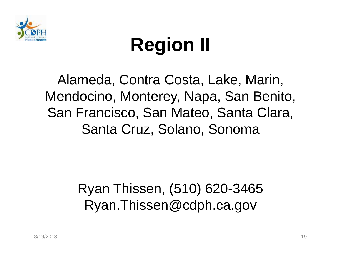

# **Region II**

Alameda, Contra Costa, Lake, Marin, Mendocino, Monterey, Napa, San Benito, San Francisco, San Mateo, Santa Clara, Santa Cruz, Solano, Sonoma

> Ryan Thissen, (510) 620-3465 Ryan.Thissen@cdph.ca.gov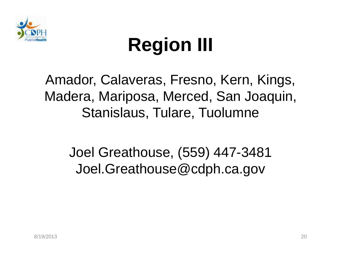

# **Region III**

#### Amador, Calaveras, Fresno, Kern, Kings, Madera, Mariposa, Merced, San Joaquin, Stanislaus, Tulare, Tuolumne

#### Joel Greathouse, (559) 447-3481 Joel.Greathouse@cdph.ca.gov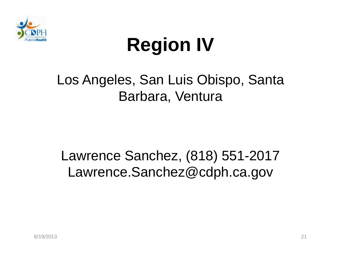

# **Region IV**

#### Los Angeles, San Luis Obispo, Santa Barbara, Ventura

#### Lawrence Sanchez, (818) 551-2017 Lawrence.Sanchez@cdph.ca.gov